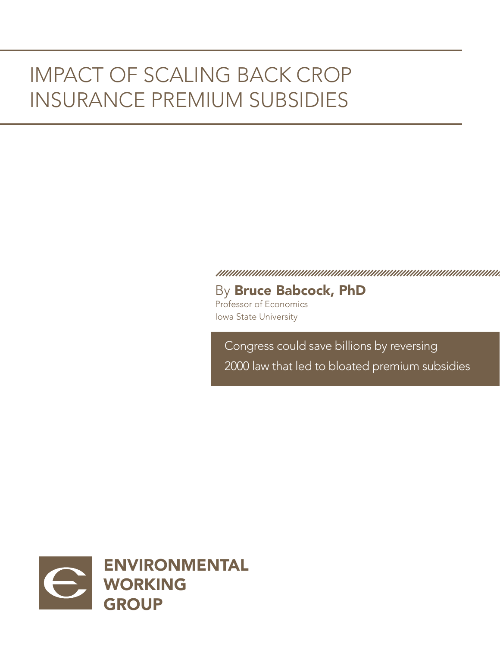# IMPACT OF SCALING BACK CROP INSURANCE PREMIUM SUBSIDIES

By Bruce Babcock, PhD

Professor of Economics Iowa State University

Congress could save billions by reversing 2000 law that led to bloated premium subsidies

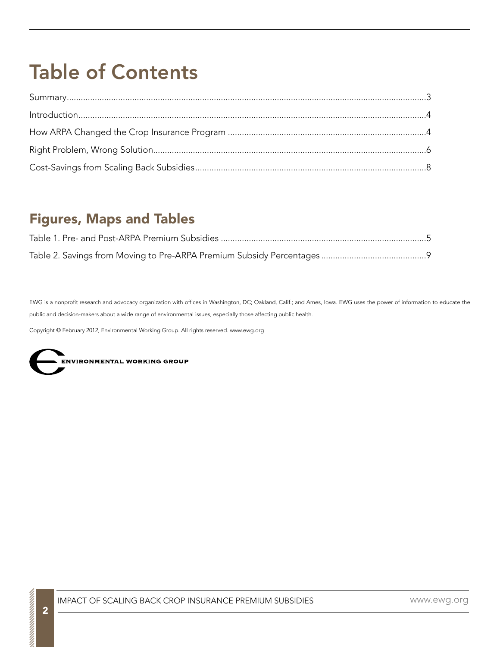# Table of Contents

### Figures, Maps and Tables

EWG is a nonprofit research and advocacy organization with offices in Washington, DC; Oakland, Calif.; and Ames, Iowa. EWG uses the power of information to educate the public and decision-makers about a wide range of environmental issues, especially those affecting public health.

Copyright © February 2012, Environmental Working Group. All rights reserved. www.ewg.org

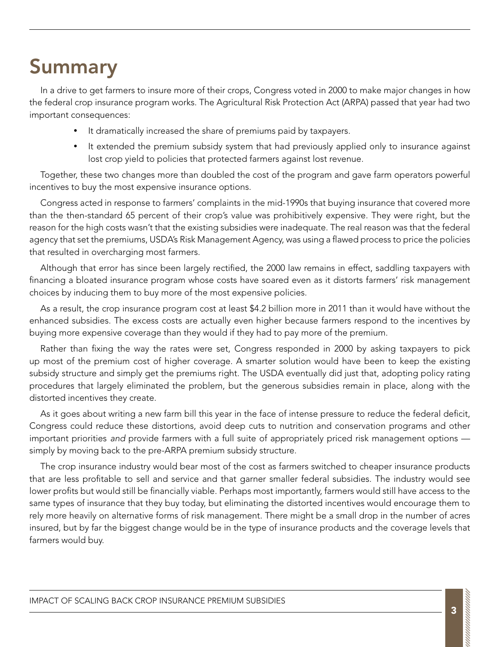# Summary

In a drive to get farmers to insure more of their crops, Congress voted in 2000 to make major changes in how the federal crop insurance program works. The Agricultural Risk Protection Act (ARPA) passed that year had two important consequences:

- It dramatically increased the share of premiums paid by taxpayers.
- It extended the premium subsidy system that had previously applied only to insurance against lost crop yield to policies that protected farmers against lost revenue.

Together, these two changes more than doubled the cost of the program and gave farm operators powerful incentives to buy the most expensive insurance options.

Congress acted in response to farmers' complaints in the mid-1990s that buying insurance that covered more than the then-standard 65 percent of their crop's value was prohibitively expensive. They were right, but the reason for the high costs wasn't that the existing subsidies were inadequate. The real reason was that the federal agency that set the premiums, USDA's Risk Management Agency, was using a flawed process to price the policies that resulted in overcharging most farmers.

Although that error has since been largely rectified, the 2000 law remains in effect, saddling taxpayers with financing a bloated insurance program whose costs have soared even as it distorts farmers' risk management choices by inducing them to buy more of the most expensive policies.

As a result, the crop insurance program cost at least \$4.2 billion more in 2011 than it would have without the enhanced subsidies. The excess costs are actually even higher because farmers respond to the incentives by buying more expensive coverage than they would if they had to pay more of the premium.

Rather than fixing the way the rates were set, Congress responded in 2000 by asking taxpayers to pick up most of the premium cost of higher coverage. A smarter solution would have been to keep the existing subsidy structure and simply get the premiums right. The USDA eventually did just that, adopting policy rating procedures that largely eliminated the problem, but the generous subsidies remain in place, along with the distorted incentives they create.

As it goes about writing a new farm bill this year in the face of intense pressure to reduce the federal deficit, Congress could reduce these distortions, avoid deep cuts to nutrition and conservation programs and other important priorities *and* provide farmers with a full suite of appropriately priced risk management options simply by moving back to the pre-ARPA premium subsidy structure.

The crop insurance industry would bear most of the cost as farmers switched to cheaper insurance products that are less profitable to sell and service and that garner smaller federal subsidies. The industry would see lower profits but would still be financially viable. Perhaps most importantly, farmers would still have access to the same types of insurance that they buy today, but eliminating the distorted incentives would encourage them to rely more heavily on alternative forms of risk management. There might be a small drop in the number of acres insured, but by far the biggest change would be in the type of insurance products and the coverage levels that farmers would buy.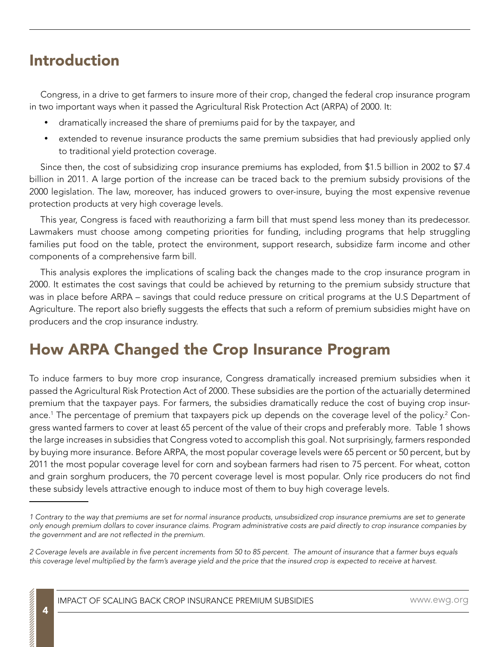### Introduction

Congress, in a drive to get farmers to insure more of their crop, changed the federal crop insurance program in two important ways when it passed the Agricultural Risk Protection Act (ARPA) of 2000. It:

- dramatically increased the share of premiums paid for by the taxpayer, and
- extended to revenue insurance products the same premium subsidies that had previously applied only to traditional yield protection coverage.

Since then, the cost of subsidizing crop insurance premiums has exploded, from \$1.5 billion in 2002 to \$7.4 billion in 2011. A large portion of the increase can be traced back to the premium subsidy provisions of the 2000 legislation. The law, moreover, has induced growers to over-insure, buying the most expensive revenue protection products at very high coverage levels.

This year, Congress is faced with reauthorizing a farm bill that must spend less money than its predecessor. Lawmakers must choose among competing priorities for funding, including programs that help struggling families put food on the table, protect the environment, support research, subsidize farm income and other components of a comprehensive farm bill.

This analysis explores the implications of scaling back the changes made to the crop insurance program in 2000. It estimates the cost savings that could be achieved by returning to the premium subsidy structure that was in place before ARPA – savings that could reduce pressure on critical programs at the U.S Department of Agriculture. The report also briefly suggests the effects that such a reform of premium subsidies might have on producers and the crop insurance industry.

## How ARPA Changed the Crop Insurance Program

To induce farmers to buy more crop insurance, Congress dramatically increased premium subsidies when it passed the Agricultural Risk Protection Act of 2000. These subsidies are the portion of the actuarially determined premium that the taxpayer pays. For farmers, the subsidies dramatically reduce the cost of buying crop insurance.<sup>1</sup> The percentage of premium that taxpayers pick up depends on the coverage level of the policy.<sup>2</sup> Congress wanted farmers to cover at least 65 percent of the value of their crops and preferably more. Table 1 shows the large increases in subsidies that Congress voted to accomplish this goal. Not surprisingly, farmers responded by buying more insurance. Before ARPA, the most popular coverage levels were 65 percent or 50 percent, but by 2011 the most popular coverage level for corn and soybean farmers had risen to 75 percent. For wheat, cotton and grain sorghum producers, the 70 percent coverage level is most popular. Only rice producers do not find these subsidy levels attractive enough to induce most of them to buy high coverage levels.

*<sup>1</sup> Contrary to the way that premiums are set for normal insurance products, unsubsidized crop insurance premiums are set to generate only enough premium dollars to cover insurance claims. Program administrative costs are paid directly to crop insurance companies by the government and are not reflected in the premium.*

*<sup>2</sup> Coverage levels are available in five percent increments from 50 to 85 percent. The amount of insurance that a farmer buys equals this coverage level multiplied by the farm's average yield and the price that the insured crop is expected to receive at harvest.*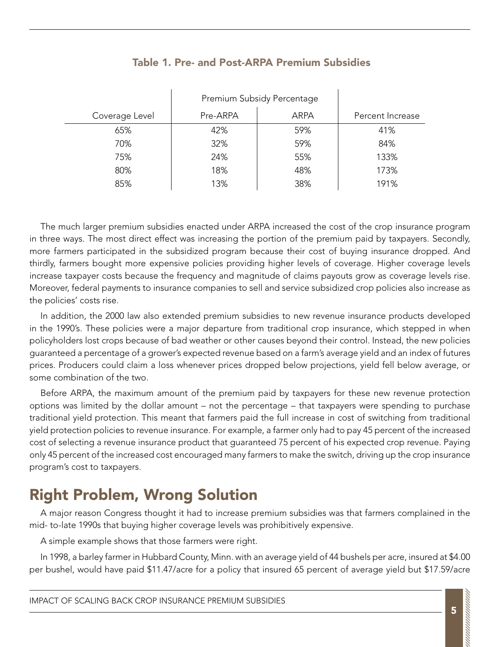|                | Premium Subsidy Percentage |             |                  |
|----------------|----------------------------|-------------|------------------|
| Coverage Level | Pre-ARPA                   | <b>ARPA</b> | Percent Increase |
| 65%            | 42%                        | 59%         | 41%              |
| 70%            | 32%                        | 59%         | 84%              |
| 75%            | 24%                        | 55%         | 133%             |
| 80%            | 18%                        | 48%         | 173%             |
| 85%            | 13%                        | 38%         | 191%             |

#### Table 1. Pre- and Post-ARPA Premium Subsidies

The much larger premium subsidies enacted under ARPA increased the cost of the crop insurance program in three ways. The most direct effect was increasing the portion of the premium paid by taxpayers. Secondly, more farmers participated in the subsidized program because their cost of buying insurance dropped. And thirdly, farmers bought more expensive policies providing higher levels of coverage. Higher coverage levels increase taxpayer costs because the frequency and magnitude of claims payouts grow as coverage levels rise. Moreover, federal payments to insurance companies to sell and service subsidized crop policies also increase as the policies' costs rise.

In addition, the 2000 law also extended premium subsidies to new revenue insurance products developed in the 1990's. These policies were a major departure from traditional crop insurance, which stepped in when policyholders lost crops because of bad weather or other causes beyond their control. Instead, the new policies guaranteed a percentage of a grower's expected revenue based on a farm's average yield and an index of futures prices. Producers could claim a loss whenever prices dropped below projections, yield fell below average, or some combination of the two.

Before ARPA, the maximum amount of the premium paid by taxpayers for these new revenue protection options was limited by the dollar amount – not the percentage – that taxpayers were spending to purchase traditional yield protection. This meant that farmers paid the full increase in cost of switching from traditional yield protection policies to revenue insurance. For example, a farmer only had to pay 45 percent of the increased cost of selecting a revenue insurance product that guaranteed 75 percent of his expected crop revenue. Paying only 45 percent of the increased cost encouraged many farmers to make the switch, driving up the crop insurance program's cost to taxpayers.

## Right Problem, Wrong Solution

A major reason Congress thought it had to increase premium subsidies was that farmers complained in the mid- to-late 1990s that buying higher coverage levels was prohibitively expensive.

A simple example shows that those farmers were right.

In 1998, a barley farmer in Hubbard County, Minn. with an average yield of 44 bushels per acre, insured at \$4.00 per bushel, would have paid \$11.47/acre for a policy that insured 65 percent of average yield but \$17.59/acre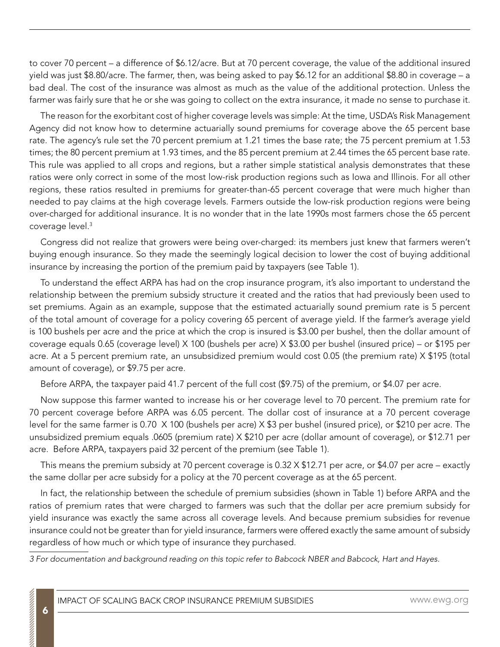to cover 70 percent – a difference of \$6.12/acre. But at 70 percent coverage, the value of the additional insured yield was just \$8.80/acre. The farmer, then, was being asked to pay \$6.12 for an additional \$8.80 in coverage – a bad deal. The cost of the insurance was almost as much as the value of the additional protection. Unless the farmer was fairly sure that he or she was going to collect on the extra insurance, it made no sense to purchase it.

The reason for the exorbitant cost of higher coverage levels was simple: At the time, USDA's Risk Management Agency did not know how to determine actuarially sound premiums for coverage above the 65 percent base rate. The agency's rule set the 70 percent premium at 1.21 times the base rate; the 75 percent premium at 1.53 times; the 80 percent premium at 1.93 times, and the 85 percent premium at 2.44 times the 65 percent base rate. This rule was applied to all crops and regions, but a rather simple statistical analysis demonstrates that these ratios were only correct in some of the most low-risk production regions such as Iowa and Illinois. For all other regions, these ratios resulted in premiums for greater-than-65 percent coverage that were much higher than needed to pay claims at the high coverage levels. Farmers outside the low-risk production regions were being over-charged for additional insurance. It is no wonder that in the late 1990s most farmers chose the 65 percent coverage level.3

Congress did not realize that growers were being over-charged: its members just knew that farmers weren't buying enough insurance. So they made the seemingly logical decision to lower the cost of buying additional insurance by increasing the portion of the premium paid by taxpayers (see Table 1).

To understand the effect ARPA has had on the crop insurance program, it's also important to understand the relationship between the premium subsidy structure it created and the ratios that had previously been used to set premiums. Again as an example, suppose that the estimated actuarially sound premium rate is 5 percent of the total amount of coverage for a policy covering 65 percent of average yield. If the farmer's average yield is 100 bushels per acre and the price at which the crop is insured is \$3.00 per bushel, then the dollar amount of coverage equals 0.65 (coverage level) X 100 (bushels per acre) X \$3.00 per bushel (insured price) – or \$195 per acre. At a 5 percent premium rate, an unsubsidized premium would cost 0.05 (the premium rate) X \$195 (total amount of coverage), or \$9.75 per acre.

Before ARPA, the taxpayer paid 41.7 percent of the full cost (\$9.75) of the premium, or \$4.07 per acre.

Now suppose this farmer wanted to increase his or her coverage level to 70 percent. The premium rate for 70 percent coverage before ARPA was 6.05 percent. The dollar cost of insurance at a 70 percent coverage level for the same farmer is 0.70 X 100 (bushels per acre) X \$3 per bushel (insured price), or \$210 per acre. The unsubsidized premium equals .0605 (premium rate) X \$210 per acre (dollar amount of coverage), or \$12.71 per acre. Before ARPA, taxpayers paid 32 percent of the premium (see Table 1).

This means the premium subsidy at 70 percent coverage is 0.32 X \$12.71 per acre, or \$4.07 per acre – exactly the same dollar per acre subsidy for a policy at the 70 percent coverage as at the 65 percent.

In fact, the relationship between the schedule of premium subsidies (shown in Table 1) before ARPA and the ratios of premium rates that were charged to farmers was such that the dollar per acre premium subsidy for yield insurance was exactly the same across all coverage levels. And because premium subsidies for revenue insurance could not be greater than for yield insurance, farmers were offered exactly the same amount of subsidy regardless of how much or which type of insurance they purchased.

*3 For documentation and background reading on this topic refer to Babcock NBER and Babcock, Hart and Hayes.*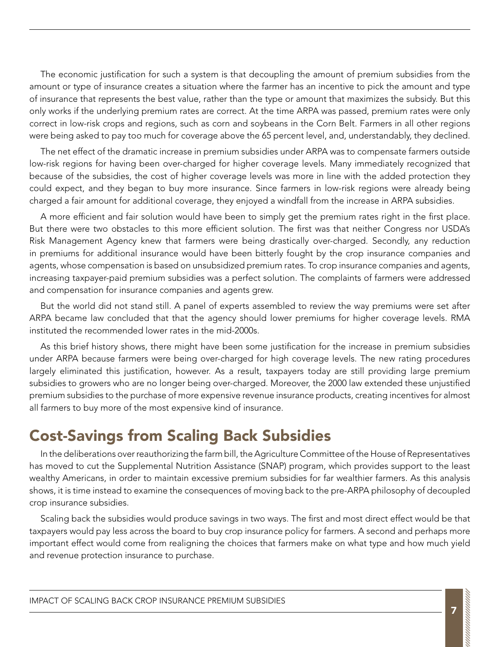The economic justification for such a system is that decoupling the amount of premium subsidies from the amount or type of insurance creates a situation where the farmer has an incentive to pick the amount and type of insurance that represents the best value, rather than the type or amount that maximizes the subsidy. But this only works if the underlying premium rates are correct. At the time ARPA was passed, premium rates were only correct in low-risk crops and regions, such as corn and soybeans in the Corn Belt. Farmers in all other regions were being asked to pay too much for coverage above the 65 percent level, and, understandably, they declined.

The net effect of the dramatic increase in premium subsidies under ARPA was to compensate farmers outside low-risk regions for having been over-charged for higher coverage levels. Many immediately recognized that because of the subsidies, the cost of higher coverage levels was more in line with the added protection they could expect, and they began to buy more insurance. Since farmers in low-risk regions were already being charged a fair amount for additional coverage, they enjoyed a windfall from the increase in ARPA subsidies.

A more efficient and fair solution would have been to simply get the premium rates right in the first place. But there were two obstacles to this more efficient solution. The first was that neither Congress nor USDA's Risk Management Agency knew that farmers were being drastically over-charged. Secondly, any reduction in premiums for additional insurance would have been bitterly fought by the crop insurance companies and agents, whose compensation is based on unsubsidized premium rates. To crop insurance companies and agents, increasing taxpayer-paid premium subsidies was a perfect solution. The complaints of farmers were addressed and compensation for insurance companies and agents grew.

But the world did not stand still. A panel of experts assembled to review the way premiums were set after ARPA became law concluded that that the agency should lower premiums for higher coverage levels. RMA instituted the recommended lower rates in the mid-2000s.

As this brief history shows, there might have been some justification for the increase in premium subsidies under ARPA because farmers were being over-charged for high coverage levels. The new rating procedures largely eliminated this justification, however. As a result, taxpayers today are still providing large premium subsidies to growers who are no longer being over-charged. Moreover, the 2000 law extended these unjustified premium subsidies to the purchase of more expensive revenue insurance products, creating incentives for almost all farmers to buy more of the most expensive kind of insurance.

### Cost-Savings from Scaling Back Subsidies

In the deliberations over reauthorizing the farm bill, the Agriculture Committee of the House of Representatives has moved to cut the Supplemental Nutrition Assistance (SNAP) program, which provides support to the least wealthy Americans, in order to maintain excessive premium subsidies for far wealthier farmers. As this analysis shows, it is time instead to examine the consequences of moving back to the pre-ARPA philosophy of decoupled crop insurance subsidies.

Scaling back the subsidies would produce savings in two ways. The first and most direct effect would be that taxpayers would pay less across the board to buy crop insurance policy for farmers. A second and perhaps more important effect would come from realigning the choices that farmers make on what type and how much yield and revenue protection insurance to purchase.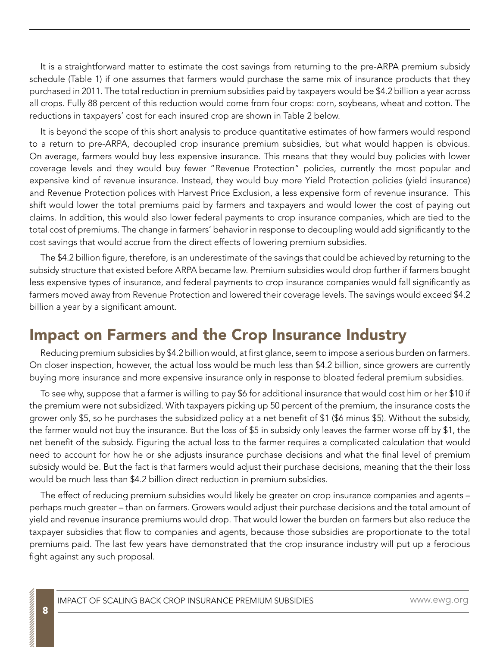It is a straightforward matter to estimate the cost savings from returning to the pre-ARPA premium subsidy schedule (Table 1) if one assumes that farmers would purchase the same mix of insurance products that they purchased in 2011. The total reduction in premium subsidies paid by taxpayers would be \$4.2 billion a year across all crops. Fully 88 percent of this reduction would come from four crops: corn, soybeans, wheat and cotton. The reductions in taxpayers' cost for each insured crop are shown in Table 2 below.

It is beyond the scope of this short analysis to produce quantitative estimates of how farmers would respond to a return to pre-ARPA, decoupled crop insurance premium subsidies, but what would happen is obvious. On average, farmers would buy less expensive insurance. This means that they would buy policies with lower coverage levels and they would buy fewer "Revenue Protection" policies, currently the most popular and expensive kind of revenue insurance. Instead, they would buy more Yield Protection policies (yield insurance) and Revenue Protection polices with Harvest Price Exclusion, a less expensive form of revenue insurance. This shift would lower the total premiums paid by farmers and taxpayers and would lower the cost of paying out claims. In addition, this would also lower federal payments to crop insurance companies, which are tied to the total cost of premiums. The change in farmers' behavior in response to decoupling would add significantly to the cost savings that would accrue from the direct effects of lowering premium subsidies.

The \$4.2 billion figure, therefore, is an underestimate of the savings that could be achieved by returning to the subsidy structure that existed before ARPA became law. Premium subsidies would drop further if farmers bought less expensive types of insurance, and federal payments to crop insurance companies would fall significantly as farmers moved away from Revenue Protection and lowered their coverage levels. The savings would exceed \$4.2 billion a year by a significant amount.

## Impact on Farmers and the Crop Insurance Industry

Reducing premium subsidies by \$4.2 billion would, at first glance, seem to impose a serious burden on farmers. On closer inspection, however, the actual loss would be much less than \$4.2 billion, since growers are currently buying more insurance and more expensive insurance only in response to bloated federal premium subsidies.

To see why, suppose that a farmer is willing to pay \$6 for additional insurance that would cost him or her \$10 if the premium were not subsidized. With taxpayers picking up 50 percent of the premium, the insurance costs the grower only \$5, so he purchases the subsidized policy at a net benefit of \$1 (\$6 minus \$5). Without the subsidy, the farmer would not buy the insurance. But the loss of \$5 in subsidy only leaves the farmer worse off by \$1, the net benefit of the subsidy. Figuring the actual loss to the farmer requires a complicated calculation that would need to account for how he or she adjusts insurance purchase decisions and what the final level of premium subsidy would be. But the fact is that farmers would adjust their purchase decisions, meaning that the their loss would be much less than \$4.2 billion direct reduction in premium subsidies.

The effect of reducing premium subsidies would likely be greater on crop insurance companies and agents – perhaps much greater – than on farmers. Growers would adjust their purchase decisions and the total amount of yield and revenue insurance premiums would drop. That would lower the burden on farmers but also reduce the taxpayer subsidies that flow to companies and agents, because those subsidies are proportionate to the total premiums paid. The last few years have demonstrated that the crop insurance industry will put up a ferocious fight against any such proposal.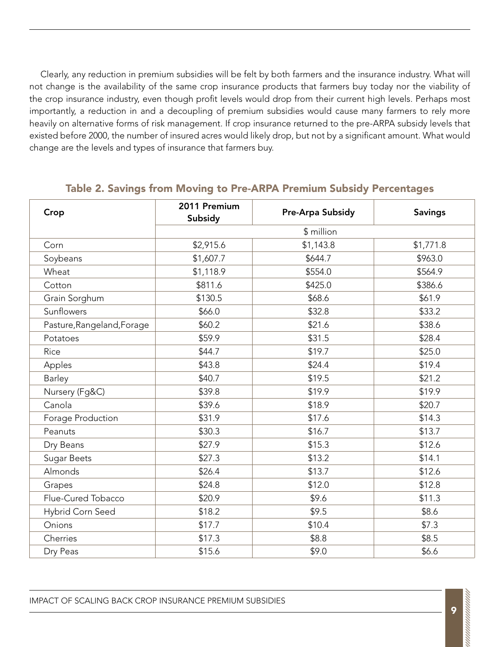Clearly, any reduction in premium subsidies will be felt by both farmers and the insurance industry. What will not change is the availability of the same crop insurance products that farmers buy today nor the viability of the crop insurance industry, even though profit levels would drop from their current high levels. Perhaps most importantly, a reduction in and a decoupling of premium subsidies would cause many farmers to rely more heavily on alternative forms of risk management. If crop insurance returned to the pre-ARPA subsidy levels that existed before 2000, the number of insured acres would likely drop, but not by a significant amount. What would change are the levels and types of insurance that farmers buy.

| Crop                       | 2011 Premium<br>Subsidy | Pre-Arpa Subsidy | <b>Savings</b> |
|----------------------------|-------------------------|------------------|----------------|
|                            | \$ million              |                  |                |
| Corn                       | \$2,915.6               | \$1,143.8        | \$1,771.8      |
| Soybeans                   | \$1,607.7               | \$644.7          | \$963.0        |
| Wheat                      | \$1,118.9               | \$554.0          | \$564.9        |
| Cotton                     | \$811.6                 | \$425.0          | \$386.6        |
| Grain Sorghum              | \$130.5                 | \$68.6           | \$61.9         |
| Sunflowers                 | \$66.0                  | \$32.8           | \$33.2         |
| Pasture, Rangeland, Forage | \$60.2                  | \$21.6           | \$38.6         |
| Potatoes                   | \$59.9                  | \$31.5           | \$28.4         |
| Rice                       | \$44.7                  | \$19.7           | \$25.0         |
| Apples                     | \$43.8                  | \$24.4           | \$19.4         |
| Barley                     | \$40.7                  | \$19.5           | \$21.2         |
| Nursery (Fg&C)             | \$39.8                  | \$19.9           | \$19.9         |
| Canola                     | \$39.6                  | \$18.9           | \$20.7         |
| Forage Production          | \$31.9                  | \$17.6           | \$14.3         |
| Peanuts                    | \$30.3                  | \$16.7           | \$13.7         |
| Dry Beans                  | \$27.9                  | \$15.3           | \$12.6         |
| Sugar Beets                | \$27.3                  | \$13.2           | \$14.1         |
| Almonds                    | \$26.4                  | \$13.7           | \$12.6         |
| Grapes                     | \$24.8                  | \$12.0           | \$12.8         |
| Flue-Cured Tobacco         | \$20.9                  | \$9.6            | \$11.3         |
| Hybrid Corn Seed           | \$18.2                  | \$9.5            | \$8.6          |
| Onions                     | \$17.7                  | \$10.4           | \$7.3          |
| Cherries                   | \$17.3                  | \$8.8            | \$8.5          |
| Dry Peas                   | \$15.6                  | \$9.0            | \$6.6          |

#### Table 2. Savings from Moving to Pre-ARPA Premium Subsidy Percentages

IMPACT OF SCALING BACK CROP INSURANCE PREMIUM SUBSIDIES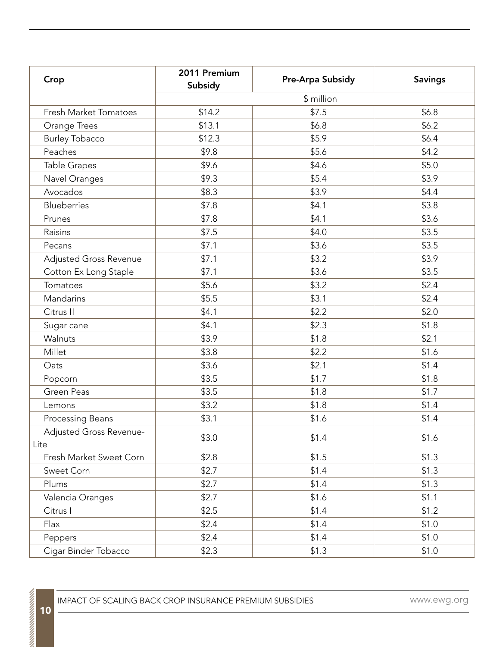| Crop                            | 2011 Premium<br>Subsidy | Pre-Arpa Subsidy | <b>Savings</b> |  |  |
|---------------------------------|-------------------------|------------------|----------------|--|--|
|                                 | \$ million              |                  |                |  |  |
| Fresh Market Tomatoes           | \$14.2                  | \$7.5            | \$6.8          |  |  |
| Orange Trees                    | \$13.1                  | \$6.8\$          | \$6.2          |  |  |
| <b>Burley Tobacco</b>           | \$12.3                  | \$5.9            | \$6.4          |  |  |
| Peaches                         | \$9.8                   | \$5.6            | \$4.2          |  |  |
| Table Grapes                    | \$9.6                   | \$4.6            | \$5.0          |  |  |
| Navel Oranges                   | \$9.3                   | \$5.4            | \$3.9          |  |  |
| Avocados                        | \$8.3                   | \$3.9            | \$4.4          |  |  |
| <b>Blueberries</b>              | \$7.8                   | \$4.1            | \$3.8          |  |  |
| Prunes                          | \$7.8                   | \$4.1            | \$3.6          |  |  |
| Raisins                         | \$7.5                   | \$4.0            | \$3.5          |  |  |
| Pecans                          | \$7.1                   | \$3.6            | \$3.5          |  |  |
| Adjusted Gross Revenue          | \$7.1                   | \$3.2            | \$3.9          |  |  |
| Cotton Ex Long Staple           | \$7.1                   | \$3.6            | \$3.5          |  |  |
| Tomatoes                        | \$5.6                   | \$3.2            | \$2.4          |  |  |
| Mandarins                       | \$5.5                   | \$3.1            | \$2.4          |  |  |
| Citrus II                       | \$4.1                   | \$2.2            | \$2.0          |  |  |
| Sugar cane                      | \$4.1                   | \$2.3            | \$1.8          |  |  |
| Walnuts                         | \$3.9                   | \$1.8            | \$2.1          |  |  |
| Millet                          | \$3.8                   | \$2.2            | \$1.6          |  |  |
| Oats                            | \$3.6                   | \$2.1            | \$1.4          |  |  |
| Popcorn                         | \$3.5                   | \$1.7            | \$1.8          |  |  |
| Green Peas                      | \$3.5                   | \$1.8            | \$1.7          |  |  |
| Lemons                          | \$3.2                   | \$1.8            | \$1.4          |  |  |
| Processing Beans                | \$3.1                   | \$1.6            | \$1.4          |  |  |
| Adjusted Gross Revenue-<br>Lite | \$3.0                   | \$1.4            | \$1.6          |  |  |
| Fresh Market Sweet Corn         | \$2.8                   | \$1.5            | \$1.3          |  |  |
| Sweet Corn                      | \$2.7                   | \$1.4            | \$1.3          |  |  |
| Plums                           | \$2.7                   | \$1.4            | \$1.3          |  |  |
| Valencia Oranges                | \$2.7                   | \$1.6            | \$1.1          |  |  |
| Citrus I                        | \$2.5                   | \$1.4            | \$1.2          |  |  |
| Flax                            | \$2.4                   | \$1.4            | \$1.0          |  |  |
| Peppers                         | \$2.4                   | \$1.4            | \$1.0          |  |  |
| Cigar Binder Tobacco            | \$2.3                   | \$1.3            | \$1.0          |  |  |

<sup>1</sup> 10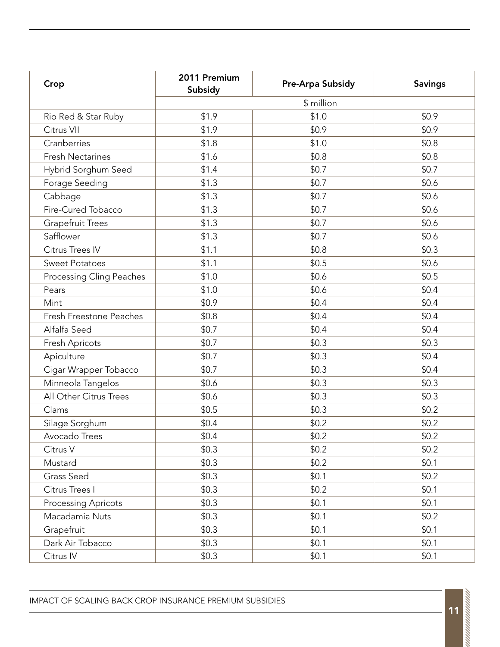| Crop                       | 2011 Premium<br>Subsidy | Pre-Arpa Subsidy | <b>Savings</b> |
|----------------------------|-------------------------|------------------|----------------|
|                            | \$ million              |                  |                |
| Rio Red & Star Ruby        | \$1.9                   | \$1.0            | \$0.9          |
| Citrus VII                 | \$1.9                   | \$0.9            | \$0.9          |
| Cranberries                | \$1.8                   | \$1.0            | \$0.8          |
| <b>Fresh Nectarines</b>    | \$1.6                   | \$0.8            | \$0.8          |
| Hybrid Sorghum Seed        | \$1.4                   | \$0.7            | \$0.7          |
| Forage Seeding             | \$1.3                   | \$0.7            | \$0.6          |
| Cabbage                    | \$1.3                   | \$0.7            | \$0.6          |
| Fire-Cured Tobacco         | \$1.3                   | \$0.7            | \$0.6          |
| <b>Grapefruit Trees</b>    | \$1.3                   | \$0.7            | \$0.6          |
| Safflower                  | \$1.3                   | \$0.7            | \$0.6          |
| Citrus Trees IV            | \$1.1                   | \$0.8            | \$0.3          |
| <b>Sweet Potatoes</b>      | \$1.1                   | \$0.5            | \$0.6          |
| Processing Cling Peaches   | \$1.0                   | \$0.6            | \$0.5          |
| Pears                      | \$1.0                   | \$0.6            | \$0.4          |
| Mint                       | \$0.9                   | \$0.4            | \$0.4          |
| Fresh Freestone Peaches    | \$0.8                   | \$0.4            | \$0.4          |
| Alfalfa Seed               | \$0.7                   | \$0.4            | \$0.4          |
| Fresh Apricots             | \$0.7                   | \$0.3            | \$0.3          |
| Apiculture                 | \$0.7                   | \$0.3            | \$0.4          |
| Cigar Wrapper Tobacco      | \$0.7                   | \$0.3            | \$0.4          |
| Minneola Tangelos          | \$0.6                   | \$0.3            | \$0.3          |
| All Other Citrus Trees     | \$0.6                   | \$0.3            | \$0.3          |
| Clams                      | \$0.5                   | \$0.3            | \$0.2          |
| Silage Sorghum             | \$0.4                   | \$0.2            | \$0.2          |
| Avocado Trees              | \$0.4                   | \$0.2            | \$0.2          |
| Citrus V                   | \$0.3                   | \$0.2\$          | \$0.2          |
| Mustard                    | \$0.3                   | \$0.2            | \$0.1          |
| Grass Seed                 | \$0.3                   | \$0.1            | \$0.2          |
| Citrus Trees I             | \$0.3                   | \$0.2\$          | \$0.1          |
| <b>Processing Apricots</b> | \$0.3                   | \$0.1            | \$0.1          |
| Macadamia Nuts             | \$0.3                   | \$0.1            | \$0.2\$        |
| Grapefruit                 | \$0.3                   | \$0.1            | \$0.1          |
| Dark Air Tobacco           | \$0.3                   | \$0.1            | \$0.1          |
| Citrus IV                  | \$0.3                   | \$0.1            | \$0.1          |

IMPACT OF SCALING BACK CROP INSURANCE PREMIUM SUBSIDIES